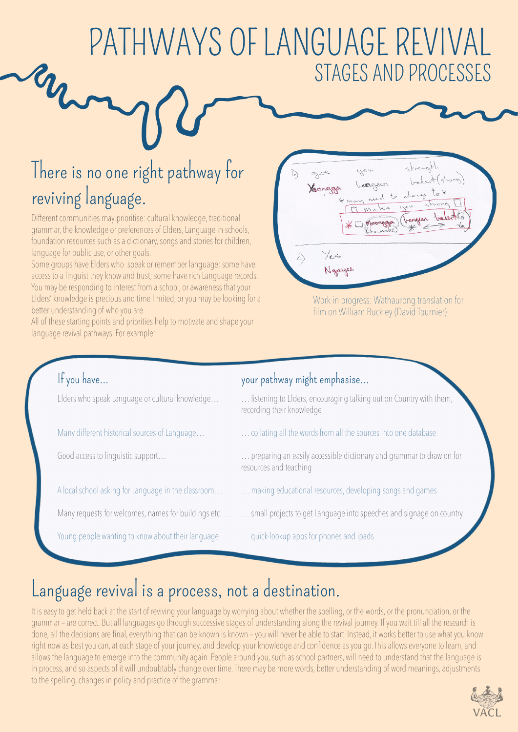# PATHWAYS OF LANGUAGE REVIVAL STAGES AND PROCESSES

## There is no one right pathway for reviving language.

Different communities may prioritise: cultural knowledge, traditional grammar, the knowledge or preferences of Elders, Language in schools, foundation resources such as a dictionary, songs and stories for children, language for public use, or other goals.

Some groups have Elders who speak or remember language; some have access to a linguist they know and trust; some have rich Language records. You may be responding to interest from a school, or awareness that your Elders' knowledge is precious and time limited, or you may be looking for a better understanding of who you are.

All of these starting points and priorities help to motivate and shape your language revival pathways. For example:



Work in progress: Wathaurong translation for film on William Buckley (David Tournier)

#### If you have…

Elders who speak Language or cultural knowledge…

Many different historical sources of Language…

Good access to linguistic support…

A local school asking for Language in the classroom…

Young people wanting to know about their language… … quick-lookup apps for phones and ipads

#### your pathway might emphasise…

… listening to Elders, encouraging talking out on Country with them, recording their knowledge

- … collating all the words from all the sources into one database
- … preparing an easily accessible dictionary and grammar to draw on for resources and teaching
- … making educational resources, developing songs and games
- Many requests for welcomes, names for buildings etc. … … small projects to get Language into speeches and signage on country
	-

### Language revival is a process, not a destination.

It is easy to get held back at the start of reviving your language by worrying about whether the spelling, or the words, or the pronunciation, or the grammar – are correct. But all languages go through successive stages of understanding along the revival journey. If you wait till all the research is done, all the decisions are final, everything that can be known is known – you will never be able to start. Instead, it works better to use what you know right now as best you can, at each stage of your journey, and develop your knowledge and confidence as you go. This allows everyone to learn, and allows the language to emerge into the community again. People around you, such as school partners, will need to understand that the language is in process, and so aspects of it will undoubtably change over time. There may be more words, better understanding of word meanings, adjustments to the spelling, changes in policy and practice of the grammar.